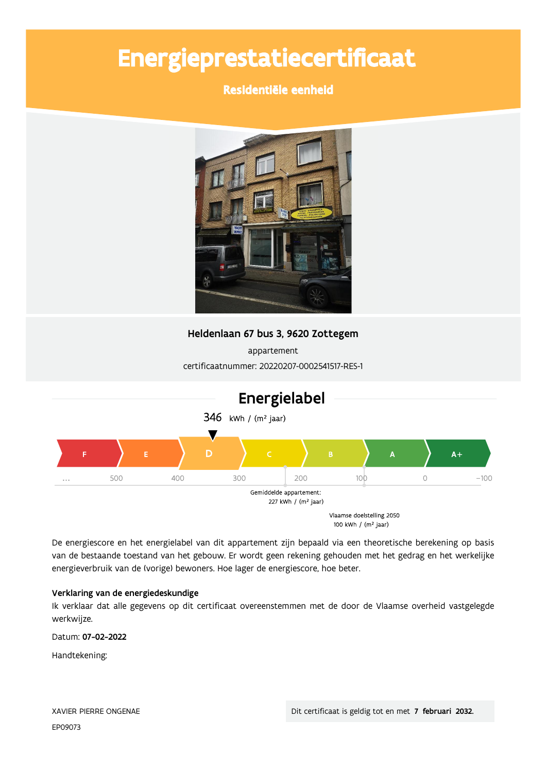# Energieprestatiecertificaat

## Residentiële eenheid



## Heldenlaan 67 bus 3, 9620 Zottegem

appartement certificaatnummer: 20220207-0002541517-RES-1



De energiescore en het energielabel van dit appartement zijn bepaald via een theoretische berekening op basis van de bestaande toestand van het gebouw. Er wordt geen rekening gehouden met het gedrag en het werkelijke energieverbruik van de (vorige) bewoners. Hoe lager de energiescore, hoe beter.

### Verklaring van de energiedeskundige

Ik verklaar dat alle gegevens op dit certificaat overeenstemmen met de door de Vlaamse overheid vastgelegde werkwijze.

Datum: 07-02-2022

Handtekening: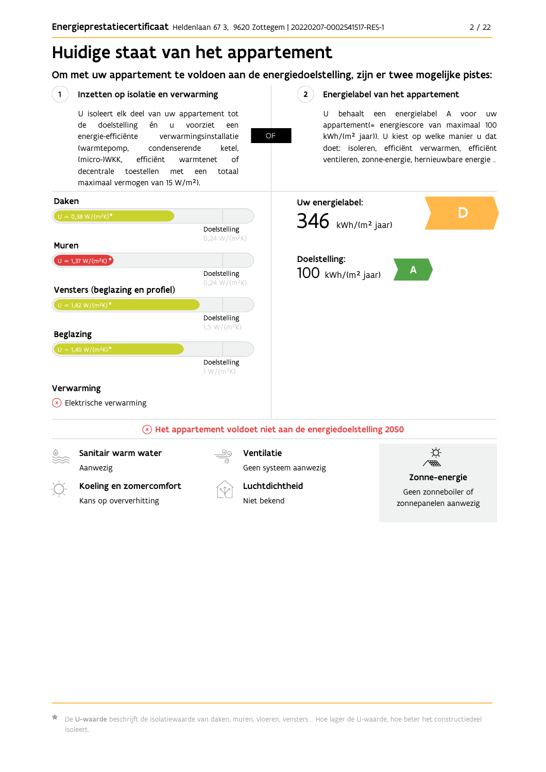## Huidige staat van het appartement

Koeling en zomercomfort

Kans op oververhitting

Om met uw appartement te voldoen aan de energiedoelstelling, zijn er twee mogelijke pistes:

#### $(1)$ Inzetten op isolatie en verwarming  $2^{\circ}$ Energielabel van het appartement U isoleert elk deel van uw appartement tot U behaalt een energielabel A voor  $\overline{U}$ doelstelling én u voorziet appartement(= energiescore van maximaal 100 de een **OF** kWh/(m<sup>2</sup> jaar)). U kiest op welke manier u dat energie-efficiënte verwarmingsinstallatie doet: isoleren, efficiënt verwarmen, efficiënt (warmtepomp, condenserende ketel, (micro-)WKK. efficiënt ventileren, zonne-energie, hernieuwbare energie ... warmtenet  $\bigcap_{ }$ decentrale toestellen met een totaal maximaal vermogen van 15 W/m<sup>2</sup>). Daken Uw energielabel: D  $U = 0,38 W/(m^2K)^*$  $346$  kWh/(m<sup>2</sup> jaar) Doelstelling  $0,24 W/(m^2K)$ Muren Doelstelling:  $U = 1,37 W/(m^2K)^{*}$  $\mathbf{A}$ Doelstelling  $100$  kWh/(m<sup>2</sup> jaar)  $0,24 W/(m^2K)$ Vensters (beglazing en profiel)  $U = 1,82 W/(m^2K)^*$ Doelstelling  $1,5 W/(m^2K)$ **Beglazing** Doelstelling  $1 W/(m^2K)$ Verwarming  $(x)$  Elektrische verwarming  $\mathbb{R}$  Het appartement voldoet niet aan de energiedoelstelling 2050 )<br>盛 Sanitair warm water Ventilatie Aanwezig Geen systeem aanwezig

Luchtdichtheid

Niet hekend

Zonne-energie

Geen zonneboiler of

zonnepanelen aanwezig

 $\star$  De **U-waarde** beschrijft de isolatiewaarde van daken, muren, vloeren, vensters … Hoe lager de U-waarde, hoe beter het constructiedeel isoleert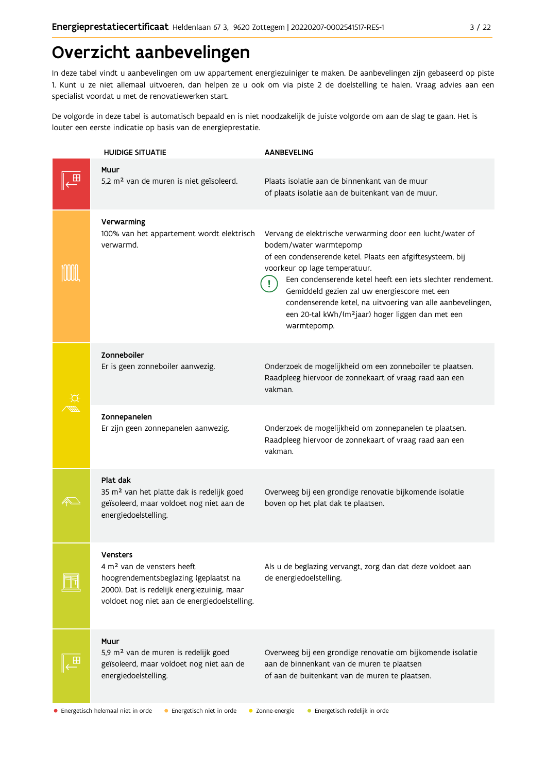## Overzicht aanbevelingen

In deze tabel vindt u aanbevelingen om uw appartement energiezuiniger te maken. De aanbevelingen zijn gebaseerd op piste 1. Kunt u ze niet allemaal uitvoeren, dan helpen ze u ook om via piste 2 de doelstelling te halen. Vraag advies aan een specialist voordat u met de renovatiewerken start.

De volgorde in deze tabel is automatisch bepaald en is niet noodzakelijk de juiste volgorde om aan de slag te gaan. Het is louter een eerste indicatie op basis van de energieprestatie.

| <b>HUIDIGE SITUATIE</b>                                                                                                                                                                   | <b>AANBEVELING</b>                                                                                                                                                                                                                                                                                                                                                                                                                             |
|-------------------------------------------------------------------------------------------------------------------------------------------------------------------------------------------|------------------------------------------------------------------------------------------------------------------------------------------------------------------------------------------------------------------------------------------------------------------------------------------------------------------------------------------------------------------------------------------------------------------------------------------------|
| Muur<br>5,2 m <sup>2</sup> van de muren is niet geïsoleerd.                                                                                                                               | Plaats isolatie aan de binnenkant van de muur<br>of plaats isolatie aan de buitenkant van de muur.                                                                                                                                                                                                                                                                                                                                             |
| Verwarming<br>100% van het appartement wordt elektrisch<br>verwarmd.                                                                                                                      | Vervang de elektrische verwarming door een lucht/water of<br>bodem/water warmtepomp<br>of een condenserende ketel. Plaats een afgiftesysteem, bij<br>voorkeur op lage temperatuur.<br>Een condenserende ketel heeft een iets slechter rendement.<br>Gemiddeld gezien zal uw energiescore met een<br>condenserende ketel, na uitvoering van alle aanbevelingen,<br>een 20-tal kWh/(m <sup>2</sup> jaar) hoger liggen dan met een<br>warmtepomp. |
| Zonneboiler<br>Er is geen zonneboiler aanwezig.                                                                                                                                           | Onderzoek de mogelijkheid om een zonneboiler te plaatsen.<br>Raadpleeg hiervoor de zonnekaart of vraag raad aan een<br>vakman.                                                                                                                                                                                                                                                                                                                 |
| Zonnepanelen<br>Er zijn geen zonnepanelen aanwezig.                                                                                                                                       | Onderzoek de mogelijkheid om zonnepanelen te plaatsen.<br>Raadpleeg hiervoor de zonnekaart of vraag raad aan een<br>vakman.                                                                                                                                                                                                                                                                                                                    |
| Plat dak<br>35 m <sup>2</sup> van het platte dak is redelijk goed<br>geïsoleerd, maar voldoet nog niet aan de<br>energiedoelstelling.                                                     | Overweeg bij een grondige renovatie bijkomende isolatie<br>boven op het plat dak te plaatsen.                                                                                                                                                                                                                                                                                                                                                  |
| vensters<br>4 m <sup>2</sup> van de vensters heeft<br>hoogrendementsbeglazing (geplaatst na<br>2000). Dat is redelijk energiezuinig, maar<br>voldoet nog niet aan de energiedoelstelling. | Als u de beglazing vervangt, zorg dan dat deze voldoet aan<br>de energiedoelstelling.                                                                                                                                                                                                                                                                                                                                                          |
| Muur<br>5,9 m <sup>2</sup> van de muren is redelijk goed<br>geïsoleerd, maar voldoet nog niet aan de<br>energiedoelstelling.                                                              | Overweeg bij een grondige renovatie om bijkomende isolatie<br>aan de binnenkant van de muren te plaatsen<br>of aan de buitenkant van de muren te plaatsen.                                                                                                                                                                                                                                                                                     |

· Energetisch helemaal niet in orde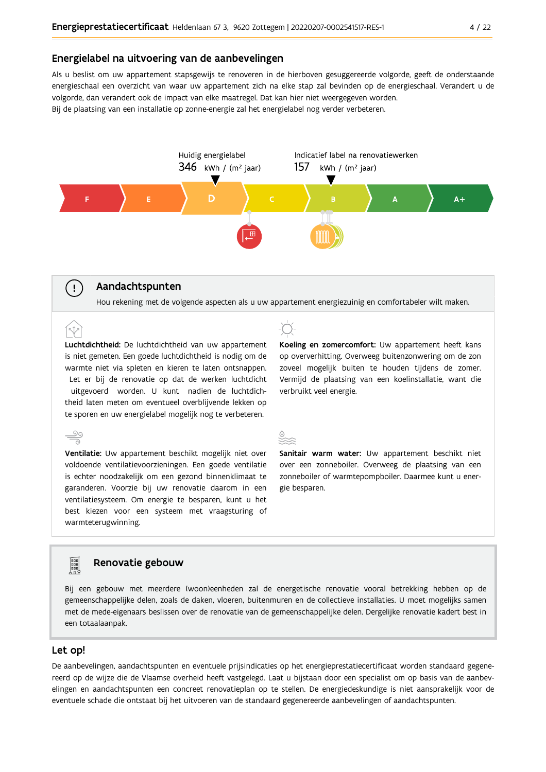#### Energielabel na uitvoering van de aanbevelingen

Als u beslist om uw appartement stapsgewijs te renoveren in de hierboven gesuggereerde volgorde, geeft de onderstaande energieschaal een overzicht van waar uw appartement zich na elke stap zal bevinden op de energieschaal. Verandert u de volgorde, dan verandert ook de impact van elke maatregel. Dat kan hier niet weergegeven worden. Bij de plaatsing van een installatie op zonne-energie zal het energielabel nog verder verbeteren.



## Aandachtspunten

 $\left( \ \right.$ 

<u>90</u>

Hou rekening met de volgende aspecten als u uw appartement energiezuinig en comfortabeler wilt maken.

Luchtdichtheid: De luchtdichtheid van uw appartement is niet gemeten. Een goede luchtdichtheid is nodig om de warmte niet via spleten en kieren te laten ontsnappen. Let er bij de renovatie op dat de werken luchtdicht uitgevoerd worden. U kunt nadien de luchtdichtheid laten meten om eventueel overblijvende lekken op te sporen en uw energielabel mogelijk nog te verbeteren.

Ventilatie: Uw appartement beschikt mogelijk niet over voldoende ventilatievoorzieningen. Een goede ventilatie is echter noodzakelijk om een gezond binnenklimaat te garanderen. Voorzie bij uw renovatie daarom in een ventilatiesysteem. Om energie te besparen, kunt u het best kiezen voor een systeem met vraagsturing of warmteterugwinning.



Koeling en zomercomfort: Uw appartement heeft kans op oververhitting. Overweeg buitenzonwering om de zon zoveel mogelijk buiten te houden tijdens de zomer. Vermijd de plaatsing van een koelinstallatie, want die verbruikt veel energie.



Sanitair warm water: Uw appartement beschikt niet over een zonneboiler. Overweeg de plaatsing van een zonneboiler of warmtepompboiler. Daarmee kunt u energie besparen.

### Renovatie gebouw

Bij een gebouw met meerdere (woon)eenheden zal de energetische renovatie vooral betrekking hebben op de gemeenschappelijke delen, zoals de daken, vloeren, buitenmuren en de collectieve installaties. U moet mogelijks samen met de mede-eigenaars beslissen over de renovatie van de gemeenschappelijke delen. Dergelijke renovatie kadert best in een totaalaanpak.

#### Let op!

De aanbevelingen, aandachtspunten en eventuele prijsindicaties op het energieprestatiecertificaat worden standaard gegenereerd op de wijze die de Vlaamse overheid heeft vastgelegd. Laat u bijstaan door een specialist om op basis van de aanbevelingen en aandachtspunten een concreet renovatieplan op te stellen. De energiedeskundige is niet aansprakelijk voor de eventuele schade die ontstaat bij het uitvoeren van de standaard gegenereerde aanbevelingen of aandachtspunten.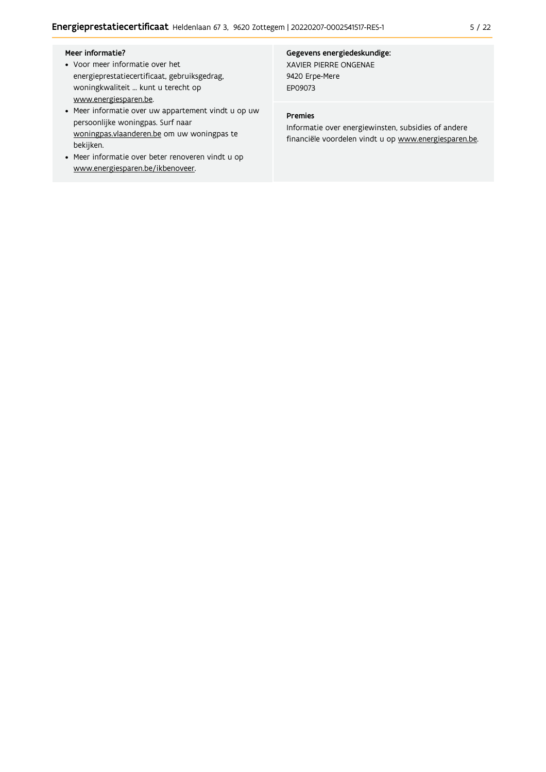#### Meer informatie?

- Voor meer informatie over het energieprestatiecertificaat, gebruiksgedrag, woningkwaliteit ... kunt u terecht op www.energiesparen.be.
- Meer informatie over uw appartement vindt u op uw persoonlijke woningpas. Surf naar woningpas.vlaanderen.be om uw woningpas te bekijken.
- Meer informatie over beter renoveren vindt u op www.energiesparen.be/ikbenoveer.

#### Gegevens energiedeskundige: XAVIER PIERRE ONGENAE 9420 Erpe-Mere

EP09073

#### Premies

Informatie over energiewinsten, subsidies of andere financiële voordelen vindt u op www.energiesparen.be.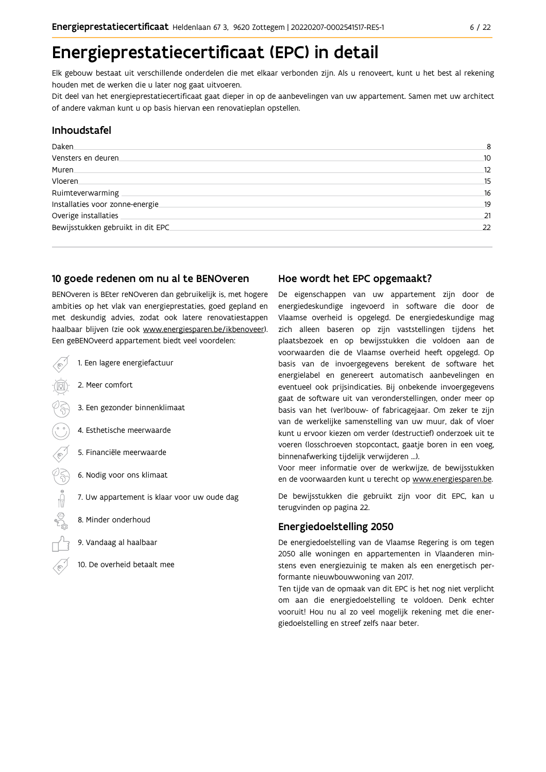## Energieprestatiecertificaat (EPC) in detail

Elk gebouw bestaat uit verschillende onderdelen die met elkaar verbonden zijn. Als u renoveert, kunt u het best al rekening houden met de werken die u later nog gaat uitvoeren.

Dit deel van het energieprestatiecertificaat gaat dieper in op de aanbevelingen van uw appartement. Samen met uw architect of andere vakman kunt u op basis hiervan een renovatieplan opstellen.

### Inhoudstafel

| Daken.                             | 8               |
|------------------------------------|-----------------|
| Vensters en deuren                 | 10 <sup>°</sup> |
| Muren.                             | 12              |
| Vloeren                            | 15              |
| Ruimteverwarming                   | 16              |
| Installaties voor zonne-energie.   | 19              |
| Overige installaties               | 21              |
| Bewijsstukken gebruikt in dit EPC. | 22              |
|                                    |                 |

#### 10 goede redenen om nu al te BENOveren

BENOveren is BEter reNOveren dan gebruikelijk is, met hogere ambities op het vlak van energieprestaties, goed gepland en met deskundig advies, zodat ook latere renovatiestappen haalbaar blijven (zie ook www.energiesparen.be/ikbenoveer). Een geBENOveerd appartement biedt veel voordelen:

- 1. Een lagere energiefactuur
	- 2. Meer comfort
	- 3. Een gezonder binnenklimaat
	- 4. Esthetische meerwaarde
	- 5. Financiële meerwaarde
- $\frac{1}{2}$  1 6. Nodig voor ons klimaat
	- 7. Uw appartement is klaar voor uw oude dag
	- 8. Minder onderhoud
	- 9. Vandaag al haalbaar
	- 10. De overheid betaalt mee

### Hoe wordt het EPC opgemaakt?

De eigenschappen van uw appartement zijn door de energiedeskundige ingevoerd in software die door de Vlaamse overheid is opgelegd. De energiedeskundige mag zich alleen baseren op zijn vaststellingen tijdens het plaatsbezoek en op bewijsstukken die voldoen aan de voorwaarden die de Vlaamse overheid heeft opgelegd. Op basis van de invoergegevens berekent de software het energielabel en genereert automatisch aanbevelingen en eventueel ook prijsindicaties. Bij onbekende invoergegevens gaat de software uit van veronderstellingen, onder meer op basis van het (ver)bouw- of fabricagejaar. Om zeker te zijn van de werkelijke samenstelling van uw muur, dak of vloer kunt u ervoor kiezen om verder (destructief) onderzoek uit te voeren (losschroeven stopcontact, gaatje boren in een voeg, binnenafwerking tijdelijk verwijderen ...).

Voor meer informatie over de werkwijze, de bewijsstukken en de voorwaarden kunt u terecht op www.energiesparen.be.

De bewijsstukken die gebruikt zijn voor dit EPC, kan u terugvinden op pagina 22.

### **Energiedoelstelling 2050**

De energiedoelstelling van de Vlaamse Regering is om tegen 2050 alle woningen en appartementen in Vlaanderen minstens even energiezuinig te maken als een energetisch performante nieuwbouwwoning van 2017.

Ten tijde van de opmaak van dit EPC is het nog niet verplicht om aan die energiedoelstelling te voldoen. Denk echter vooruit! Hou nu al zo veel mogelijk rekening met die energiedoelstelling en streef zelfs naar beter.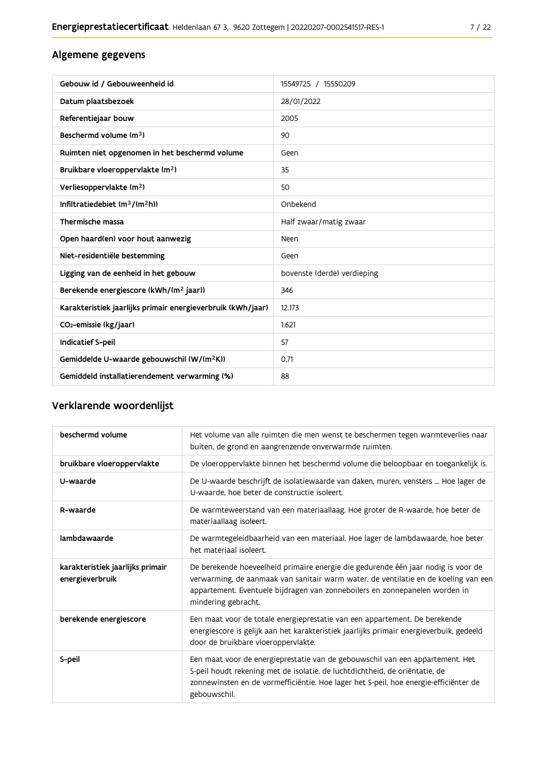## Algemene gegevens

| Gebouw id / Gebouweenheid id                                | 15549725 / 15550209         |
|-------------------------------------------------------------|-----------------------------|
| Datum plaatsbezoek                                          | 28/01/2022                  |
| Referentiejaar bouw                                         | 2005                        |
| Beschermd volume (m <sup>3</sup> )                          | 90                          |
| Ruimten niet opgenomen in het beschermd volume              | Geen                        |
| Bruikbare vloeroppervlakte (m <sup>2</sup> )                | 35                          |
| Verliesoppervlakte (m <sup>2</sup> )                        | 50                          |
| Infiltratiedebiet $(m^3/(m^2h))$                            | Onbekend                    |
| Thermische massa                                            | Half zwaar/matig zwaar      |
| Open haard(en) voor hout aanwezig                           | Neen                        |
| Niet-residentiële bestemming                                | Geen                        |
| Ligging van de eenheid in het gebouw                        | bovenste (derde) verdieping |
| Berekende energiescore (kWh/(m <sup>2</sup> jaar))          | 346                         |
| Karakteristiek jaarlijks primair energieverbruik (kWh/jaar) | 12.173                      |
| CO <sub>2</sub> -emissie (kg/jaar)                          | 1.621                       |
| Indicatief S-peil                                           | 57                          |
| Gemiddelde U-waarde gebouwschil (W/(m <sup>2</sup> K))      | 0.71                        |
| Gemiddeld installatierendement verwarming (%)               | 88                          |

## Verklarende woordenlijst

| beschermd volume                                    | Het volume van alle ruimten die men wenst te beschermen tegen warmteverlies naar<br>buiten, de grond en aangrenzende onverwarmde ruimten.                                                                                                                                      |
|-----------------------------------------------------|--------------------------------------------------------------------------------------------------------------------------------------------------------------------------------------------------------------------------------------------------------------------------------|
| bruikbare vloeroppervlakte                          | De vloeroppervlakte binnen het beschermd volume die beloopbaar en toegankelijk is.                                                                                                                                                                                             |
| U-waarde                                            | De U-waarde beschrijft de isolatiewaarde van daken, muren, vensters  Hoe lager de<br>U-waarde, hoe beter de constructie isoleert.                                                                                                                                              |
| R-waarde                                            | De warmteweerstand van een materiaallaag. Hoe groter de R-waarde, hoe beter de<br>materiaallaag isoleert.                                                                                                                                                                      |
| lambdawaarde                                        | De warmtegeleidbaarheid van een materiaal. Hoe lager de lambdawaarde, hoe beter<br>het materiaal isoleert.                                                                                                                                                                     |
| karakteristiek jaarlijks primair<br>energieverbruik | De berekende hoeveelheid primaire energie die gedurende één jaar nodig is voor de<br>verwarming, de aanmaak van sanitair warm water, de ventilatie en de koeling van een<br>appartement. Eventuele bijdragen van zonneboilers en zonnepanelen worden in<br>mindering gebracht. |
| berekende energiescore                              | Een maat voor de totale energieprestatie van een appartement. De berekende<br>energiescore is gelijk aan het karakteristiek jaarlijks primair energieverbuik, gedeeld<br>door de bruikbare vloeroppervlakte.                                                                   |
| S-peil                                              | Een maat voor de energieprestatie van de gebouwschil van een appartement. Het<br>S-peil houdt rekening met de isolatie, de luchtdichtheid, de oriëntatie, de<br>zonnewinsten en de vormefficiëntie. Hoe lager het S-peil, hoe energie-efficiënter de<br>gebouwschil.           |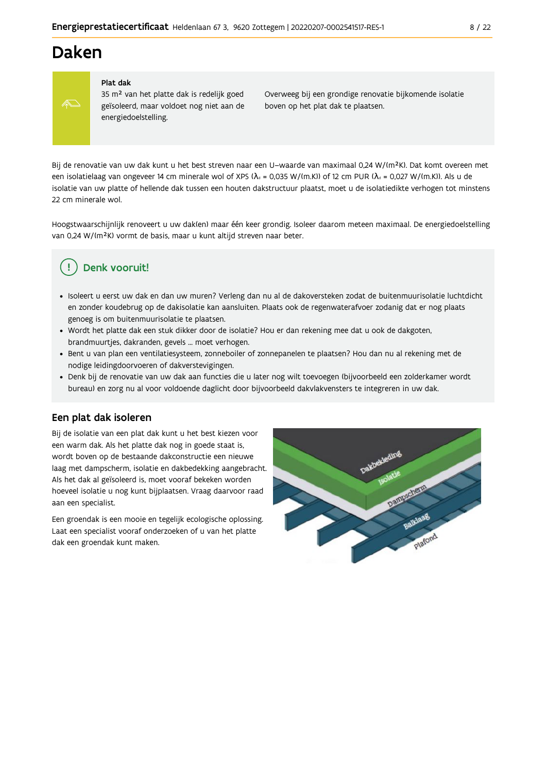## **Daken**



#### Plat dak

35 m<sup>2</sup> van het platte dak is redelijk goed geïsoleerd, maar voldoet nog niet aan de energiedoelstelling.

Overweeg bij een grondige renovatie bijkomende isolatie boven op het plat dak te plaatsen.

Bij de renovatie van uw dak kunt u het best streven naar een U-waarde van maximaal 0,24 W/(m<sup>2</sup>K). Dat komt overeen met een isolatielaag van ongeveer 14 cm minerale wol of XPS ( $\lambda_d$  = 0,035 W/(m.K)) of 12 cm PUR ( $\lambda_d$  = 0,027 W/(m.K)). Als u de isolatie van uw platte of hellende dak tussen een houten dakstructuur plaatst, moet u de isolatiedikte verhogen tot minstens 22 cm minerale wol

Hoogstwaarschijnlijk renoveert u uw dak(en) maar één keer grondig. Isoleer daarom meteen maximaal. De energiedoelstelling van 0,24 W/(m<sup>2</sup>K) vormt de basis, maar u kunt altijd streven naar beter.

## Denk vooruit!

- · Isoleert u eerst uw dak en dan uw muren? Verleng dan nu al de dakoversteken zodat de buitenmuurisolatie luchtdicht en zonder koudebrug op de dakisolatie kan aansluiten. Plaats ook de regenwaterafvoer zodanig dat er nog plaats genoeg is om buitenmuurisolatie te plaatsen.
- · Wordt het platte dak een stuk dikker door de isolatie? Hou er dan rekening mee dat u ook de dakgoten, brandmuurtjes, dakranden, gevels ... moet verhogen.
- · Bent u van plan een ventilatiesysteem, zonneboiler of zonnepanelen te plaatsen? Hou dan nu al rekening met de nodige leidingdoorvoeren of dakverstevigingen.
- · Denk bij de renovatie van uw dak aan functies die u later nog wilt toevoegen (bijvoorbeeld een zolderkamer wordt bureau) en zorg nu al voor voldoende daglicht door bijvoorbeeld dakvlakvensters te integreren in uw dak.

### Een plat dak isoleren

Bij de isolatie van een plat dak kunt u het best kiezen voor een warm dak. Als het platte dak nog in goede staat is, wordt boven op de bestaande dakconstructie een nieuwe laag met dampscherm, isolatie en dakbedekking aangebracht. Als het dak al geïsoleerd is, moet vooraf bekeken worden hoeveel isolatie u nog kunt bijplaatsen. Vraag daarvoor raad aan een specialist.

Een groendak is een mooie en tegelijk ecologische oplossing. Laat een specialist vooraf onderzoeken of u van het platte dak een groendak kunt maken.

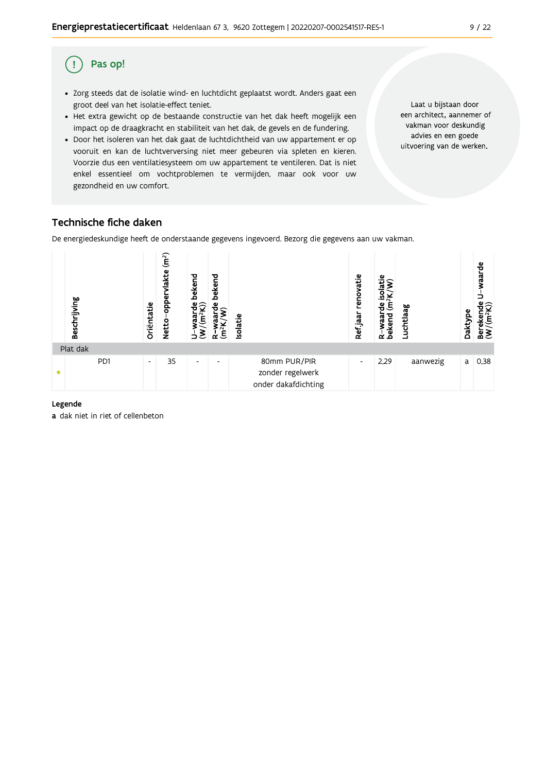#### Pas op! (!)

- · Zorg steeds dat de isolatie wind- en luchtdicht geplaatst wordt. Anders gaat een groot deel van het isolatie-effect teniet.
- Het extra gewicht op de bestaande constructie van het dak heeft mogelijk een impact op de draagkracht en stabiliteit van het dak, de gevels en de fundering.
- · Door het isoleren van het dak gaat de luchtdichtheid van uw appartement er op vooruit en kan de luchtverversing niet meer gebeuren via spleten en kieren. Voorzie dus een ventilatiesysteem om uw appartement te ventileren. Dat is niet enkel essentieel om vochtproblemen te vermijden, maar ook voor uw gezondheid en uw comfort.

Laat u bijstaan door een architect, aannemer of vakman voor deskundig advies en een goede uitvoering van de werken.

## Technische fiche daken

De energiedeskundige heeft de onderstaande gegevens ingevoerd. Bezorg die gegevens aan uw vakman.



#### Legende

a dak niet in riet of cellenbeton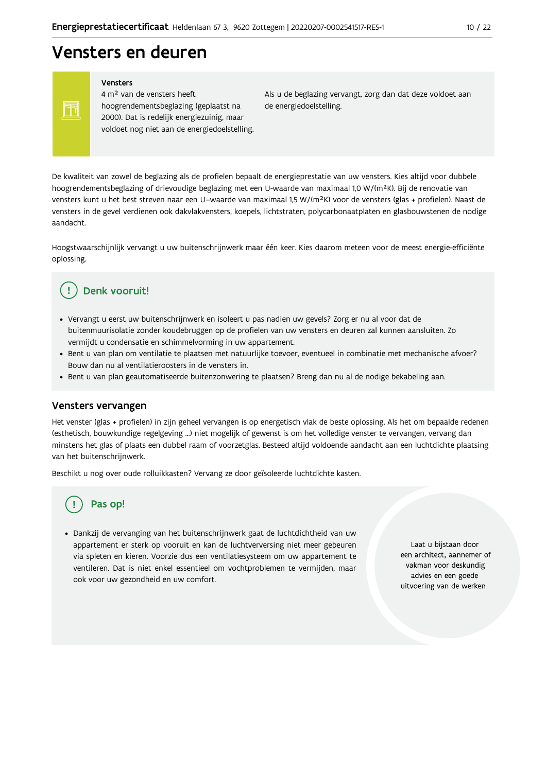## Vensters en deuren

Vensters

Ħ

4 m<sup>2</sup> van de vensters heeft hoogrendementsbeglazing (geplaatst na 2000). Dat is redelijk energiezuinig, maar voldoet nog niet aan de energiedoelstelling. Als u de beglazing vervangt, zorg dan dat deze voldoet aan de energiedoelstelling.

De kwaliteit van zowel de beglazing als de profielen bepaalt de energieprestatie van uw vensters. Kies altijd voor dubbele hoogrendementsbeglazing of drievoudige beglazing met een U-waarde van maximaal 1,0 W/(m<sup>2</sup>K). Bij de renovatie van vensters kunt u het best streven naar een U-waarde van maximaal 1,5 W/(m<sup>2</sup>K) voor de vensters (glas + profielen). Naast de vensters in de gevel verdienen ook dakvlakvensters, koepels, lichtstraten, polycarbonaatplaten en glasbouwstenen de nodige aandacht

Hoogstwaarschijnlijk vervangt u uw buitenschrijnwerk maar één keer. Kies daarom meteen voor de meest energie-efficiënte oplossing.

#### Denk vooruit! Ţ

- · Vervangt u eerst uw buitenschrijnwerk en isoleert u pas nadien uw gevels? Zorg er nu al voor dat de buitenmuurisolatie zonder koudebruggen op de profielen van uw vensters en deuren zal kunnen aansluiten. Zo vermijdt u condensatie en schimmelvorming in uw appartement.
- Bent u van plan om ventilatie te plaatsen met natuurlijke toevoer, eventueel in combinatie met mechanische afvoer? Bouw dan nu al ventilatieroosters in de vensters in.
- · Bent u van plan geautomatiseerde buitenzonwering te plaatsen? Breng dan nu al de nodige bekabeling aan.

### Vensters vervangen

Het venster (glas + profielen) in zijn geheel vervangen is op energetisch vlak de beste oplossing. Als het om bepaalde redenen (esthetisch, bouwkundige regelgeving ...) niet mogelijk of gewenst is om het volledige venster te vervangen, vervang dan minstens het glas of plaats een dubbel raam of voorzetglas. Besteed altijd voldoende aandacht aan een luchtdichte plaatsing van het buitenschrijnwerk.

Beschikt u nog over oude rolluikkasten? Vervang ze door geïsoleerde luchtdichte kasten.

## Pas op!

· Dankzij de vervanging van het buitenschrijnwerk gaat de luchtdichtheid van uw appartement er sterk op vooruit en kan de luchtverversing niet meer gebeuren via spleten en kieren. Voorzie dus een ventilatiesysteem om uw appartement te ventileren. Dat is niet enkel essentieel om vochtproblemen te vermijden, maar ook voor uw gezondheid en uw comfort.

Laat u bijstaan door een architect, aannemer of vakman voor deskundig advies en een goede uitvoering van de werken.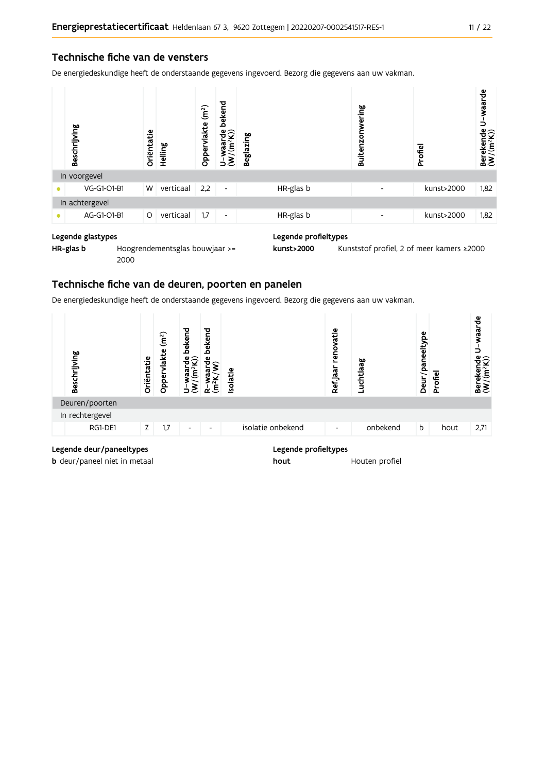### Technische fiche van de vensters

De energiedeskundige heeft de onderstaande gegevens ingevoerd. Bezorg die gegevens aan uw vakman.



#### Legende glastypes

HR-glas b Hoogrendementsglas bouwjaar >= 2000

Legende profieltypes

kunst>2000 Kunststof profiel, 2 of meer kamers ≥2000

### Technische fiche van de deuren, poorten en panelen

De energiedeskundige heeft de onderstaande gegevens ingevoerd. Bezorg die gegevens aan uw vakman.

| Beschrijving                                                                                                     | Oriëntatie | (m <sup>2</sup> )<br>vlakte<br>Opper | bekend<br>មឺ $\widehat{\mathcal{Q}}$<br>$\tilde{\mathbf{f}}$<br>waar<br>₹ | bekend<br>$\frac{e}{2}$<br>൹<br>$\vec{a}$ is $\vec{b}$ | Isolatie |                                                                                                                                                                                                                               | renovatie<br>Ref jaar    | Luchtlaag | ω<br>Deur/paneeltyp | Profiel | waarde<br>È<br>$\begin{array}{ll}\text{Berekende} \\\text{(W/(m²K))}\end{array}$ |
|------------------------------------------------------------------------------------------------------------------|------------|--------------------------------------|---------------------------------------------------------------------------|--------------------------------------------------------|----------|-------------------------------------------------------------------------------------------------------------------------------------------------------------------------------------------------------------------------------|--------------------------|-----------|---------------------|---------|----------------------------------------------------------------------------------|
| Deuren/poorten                                                                                                   |            |                                      |                                                                           |                                                        |          |                                                                                                                                                                                                                               |                          |           |                     |         |                                                                                  |
| In rechtergevel                                                                                                  |            |                                      |                                                                           |                                                        |          |                                                                                                                                                                                                                               |                          |           |                     |         |                                                                                  |
| RG1-DE1                                                                                                          | Z.         | 1,7                                  | $\overline{\phantom{a}}$                                                  | $\overline{\phantom{a}}$                               |          | isolatie onbekend                                                                                                                                                                                                             | $\overline{\phantom{a}}$ | onbekend  | b                   | hout    | 2,71                                                                             |
| the contract of the state of the contract of the contract of the contract of the contract of the contract of the |            |                                      |                                                                           |                                                        |          | the control of the control of the control of the control of the control of the control of the control of the control of the control of the control of the control of the control of the control of the control of the control |                          |           |                     |         |                                                                                  |

#### Legende deur/paneeltypes

b deur/paneel niet in metaal

#### Legende profieltypes

hout Houten profiel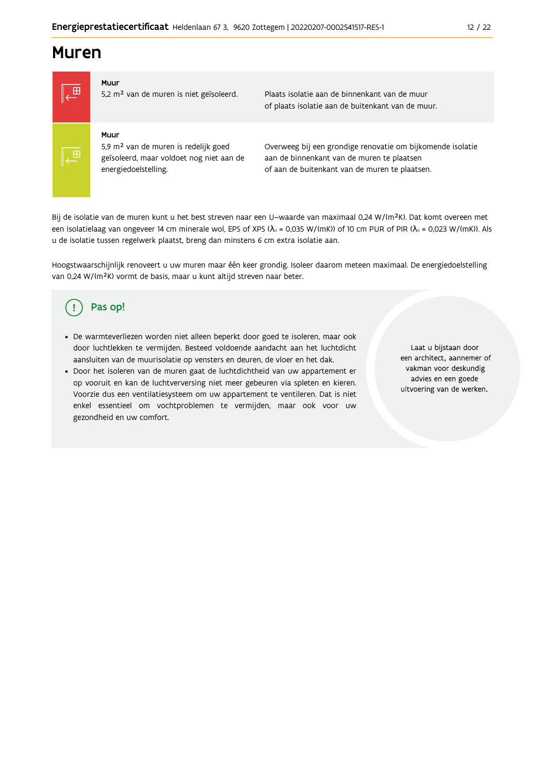## **Muren**



5,2 m<sup>2</sup> van de muren is niet geïsoleerd.

Plaats isolatie aan de binnenkant van de muur of plaats isolatie aan de buitenkant van de muur.

### Muur

Muur

5,9 m<sup>2</sup> van de muren is redelijk goed geïsoleerd, maar voldoet nog niet aan de energiedoelstelling.

Overweeg bij een grondige renovatie om bijkomende isolatie aan de binnenkant van de muren te plaatsen of aan de buitenkant van de muren te plaatsen.

Bij de isolatie van de muren kunt u het best streven naar een U-waarde van maximaal 0,24 W/(m<sup>2</sup>K). Dat komt overeen met een isolatielaag van ongeveer 14 cm minerale wol, EPS of XPS ( $\lambda_a$  = 0,035 W/(mK)) of 10 cm PUR of PIR ( $\lambda_a$  = 0,023 W/(mK)). Als u de isolatie tussen regelwerk plaatst, breng dan minstens 6 cm extra isolatie aan.

Hoogstwaarschijnlijk renoveert u uw muren maar één keer grondig. Isoleer daarom meteen maximaal. De energiedoelstelling van 0,24 W/(m<sup>2</sup>K) vormt de basis, maar u kunt altijd streven naar beter.

#### Pas op! ( ∣

- De warmteverliezen worden niet alleen beperkt door goed te isoleren, maar ook door luchtlekken te vermijden. Besteed voldoende aandacht aan het luchtdicht aansluiten van de muurisolatie op vensters en deuren, de vloer en het dak.
- · Door het isoleren van de muren gaat de luchtdichtheid van uw appartement er op vooruit en kan de luchtverversing niet meer gebeuren via spleten en kieren. Voorzie dus een ventilatiesysteem om uw appartement te ventileren. Dat is niet enkel essentieel om vochtproblemen te vermijden, maar ook voor uw gezondheid en uw comfort.

Laat u biistaan door een architect, aannemer of vakman voor deskundig advies en een goede uitvoering van de werken.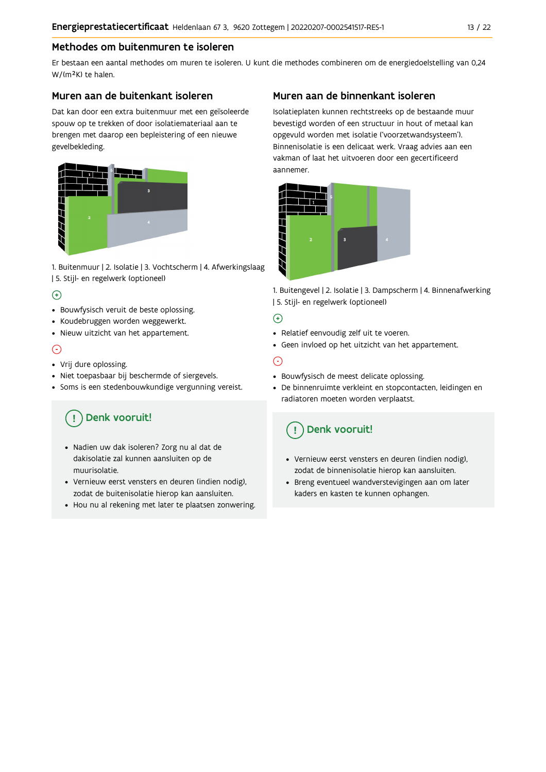### Methodes om buitenmuren te isoleren

Er bestaan een aantal methodes om muren te isoleren. U kunt die methodes combineren om de energiedoelstelling van 0,24 W/(m<sup>2</sup>K) te halen.

### Muren aan de buitenkant isoleren

Dat kan door een extra buitenmuur met een geïsoleerde spouw op te trekken of door isolatiemateriaal aan te brengen met daarop een bepleistering of een nieuwe gevelbekleding.



1. Buitenmuur | 2. Isolatie | 3. Vochtscherm | 4. Afwerkingslaag | 5. Stijl- en regelwerk (optioneel)

### $\bigoplus$

- Bouwfysisch veruit de beste oplossing.
- Koudebruggen worden weggewerkt.
- · Nieuw uitzicht van het appartement.

### $\odot$

- Vrij dure oplossing.
- · Niet toepasbaar bij beschermde of siergevels.
- Soms is een stedenbouwkundige vergunning vereist.

## Denk vooruit!

- · Nadien uw dak isoleren? Zorg nu al dat de dakisolatie zal kunnen aansluiten op de muurisolatie.
- · Vernieuw eerst vensters en deuren (indien nodig), zodat de buitenisolatie hierop kan aansluiten.
- Hou nu al rekening met later te plaatsen zonwering.

### Muren aan de binnenkant isoleren

Isolatieplaten kunnen rechtstreeks op de bestaande muur bevestigd worden of een structuur in hout of metaal kan opgevuld worden met isolatie ('voorzetwandsysteem'). Binnenisolatie is een delicaat werk. Vraag advies aan een vakman of laat het uitvoeren door een gecertificeerd aannemer



1. Buitengevel | 2. Isolatie | 3. Dampscherm | 4. Binnenafwerking | 5. Stijl- en regelwerk (optioneel)

### $\bigoplus$

- Relatief eenvoudig zelf uit te voeren.
- Geen invloed op het uitzicht van het appartement.

## ⊝

- Bouwfysisch de meest delicate oplossing.
- · De binnenruimte verkleint en stopcontacten, leidingen en radiatoren moeten worden verplaatst.

## Denk vooruit!

- Vernieuw eerst vensters en deuren (indien nodig), zodat de binnenisolatie hierop kan aansluiten.
- · Breng eventueel wandverstevigingen aan om later kaders en kasten te kunnen ophangen.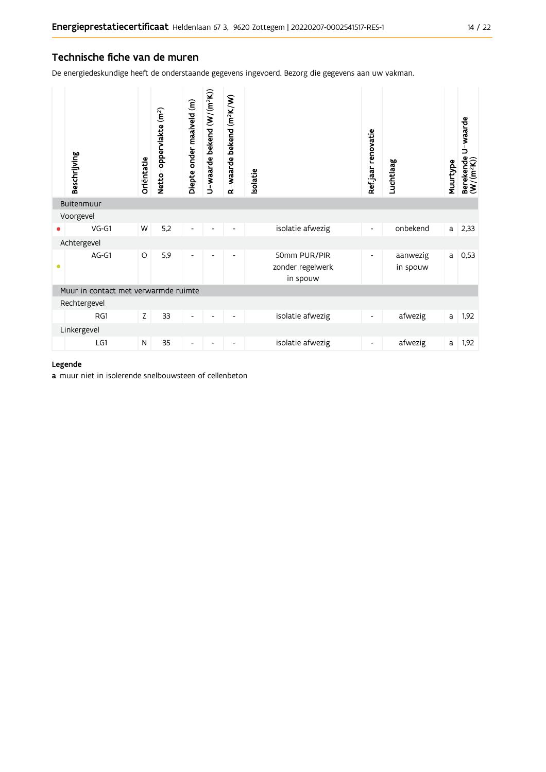### Technische fiche van de muren

De energiedeskundige heeft de onderstaande gegevens ingevoerd. Bezorg die gegevens aan uw vakman.

|           | Beschrijving                         | Oriëntatie | Netto-oppervlakte (m <sup>2</sup> ) | Diepte onder maaiveld (m) | U-waarde bekend $(W/(m^2K))$ | R-waarde bekend (m <sup>2</sup> K/W) | solatie |                                              | Refjaar renovatie        | Luchtlaag            | Muurtype | U-waarde<br>Berekende l<br>(W/(m <sup>2</sup> K)) |
|-----------|--------------------------------------|------------|-------------------------------------|---------------------------|------------------------------|--------------------------------------|---------|----------------------------------------------|--------------------------|----------------------|----------|---------------------------------------------------|
|           | Buitenmuur                           |            |                                     |                           |                              |                                      |         |                                              |                          |                      |          |                                                   |
|           | Voorgevel                            |            |                                     |                           |                              |                                      |         |                                              |                          |                      |          |                                                   |
|           | $VG-G1$                              | W          | 5,2                                 | $\overline{\phantom{a}}$  |                              | $\overline{\phantom{a}}$             |         | isolatie afwezig                             | $\overline{\phantom{a}}$ | onbekend             | a        | 2,33                                              |
|           | Achtergevel                          |            |                                     |                           |                              |                                      |         |                                              |                          |                      |          |                                                   |
| $\bullet$ | AG-G1                                | $\circ$    | 5,9                                 | $\overline{\phantom{a}}$  | ٠                            | $\overline{\phantom{a}}$             |         | 50mm PUR/PIR<br>zonder regelwerk<br>in spouw | $\overline{\phantom{a}}$ | aanwezig<br>in spouw | a        | 0,53                                              |
|           | Muur in contact met verwarmde ruimte |            |                                     |                           |                              |                                      |         |                                              |                          |                      |          |                                                   |
|           | Rechtergevel                         |            |                                     |                           |                              |                                      |         |                                              |                          |                      |          |                                                   |
|           | RG1                                  | Z          | 33                                  | $\overline{\phantom{a}}$  |                              | $\overline{\phantom{a}}$             |         | isolatie afwezig                             | ۰                        | afwezig              | a        | 1,92                                              |
|           | Linkergevel                          |            |                                     |                           |                              |                                      |         |                                              |                          |                      |          |                                                   |
|           | LG1                                  | ${\sf N}$  | 35                                  |                           |                              |                                      |         | isolatie afwezig                             |                          | afwezig              | a        | 1,92                                              |

#### Legende

a muur niet in isolerende snelbouwsteen of cellenbeton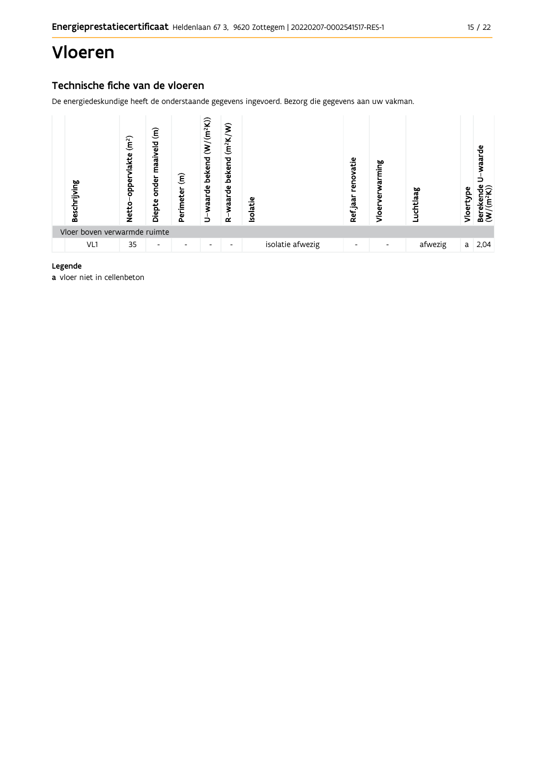## Vloeren

## Technische fiche van de vloeren

De energiedeskundige heeft de onderstaande gegevens ingevoerd. Bezorg die gegevens aan uw vakman.



#### Legende

a vloer niet in cellenbeton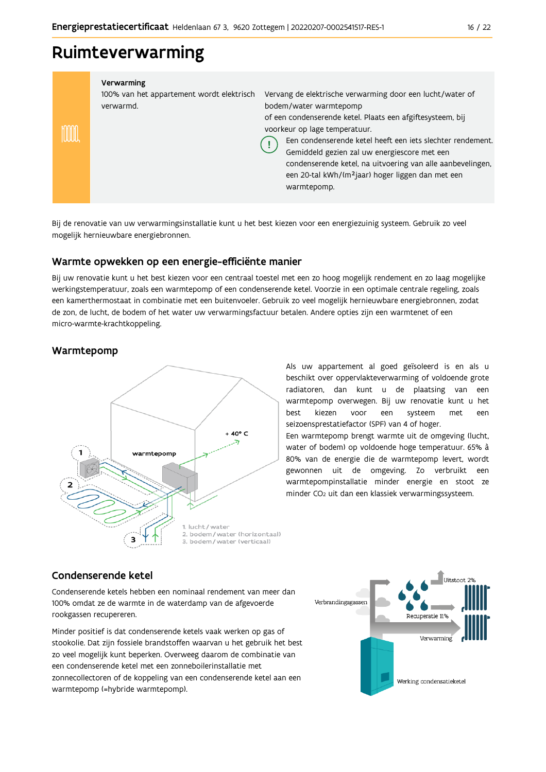## Ruimteverwarming

| Verwarming<br>100% van het appartement wordt elektrisch<br>verwarmd. | Vervang de elektrische verwarming door een lucht/water of<br>bodem/water warmtepomp<br>of een condenserende ketel. Plaats een afgiftesysteem, bij<br>voorkeur op lage temperatuur.<br>Een condenserende ketel heeft een jets slechter rendement.<br>Gemiddeld gezien zal uw energiescore met een<br>condenserende ketel, na uitvoering van alle aanbevelingen,<br>een 20-tal kWh/(m <sup>2</sup> jaar) hoger liggen dan met een<br>warmtepomp. |
|----------------------------------------------------------------------|------------------------------------------------------------------------------------------------------------------------------------------------------------------------------------------------------------------------------------------------------------------------------------------------------------------------------------------------------------------------------------------------------------------------------------------------|

Bij de renovatie van uw verwarmingsinstallatie kunt u het best kiezen voor een energiezuinig systeem. Gebruik zo veel mogelijk hernieuwbare energiebronnen.

### Warmte opwekken op een energie-efficiënte manier

Bij uw renovatie kunt u het best kiezen voor een centraal toestel met een zo hoog mogelijk rendement en zo laag mogelijke werkingstemperatuur, zoals een warmtepomp of een condenserende ketel. Voorzie in een optimale centrale regeling, zoals een kamerthermostaat in combinatie met een buitenvoeler. Gebruik zo veel mogelijk hernieuwbare energiebronnen, zodat de zon, de lucht, de bodem of het water uw verwarmingsfactuur betalen. Andere opties zijn een warmtenet of een micro-warmte-krachtkoppeling.

### Warmtepomp



Als uw appartement al goed geïsoleerd is en als u beschikt over oppervlakteverwarming of voldoende grote radiatoren, dan kunt u de plaatsing van een warmtepomp overwegen. Bij uw renovatie kunt u het hest kiezen een systeem voor met een seizoensprestatiefactor (SPF) van 4 of hoger.

Een warmtepomp brengt warmte uit de omgeving (lucht, water of bodem) op voldoende hoge temperatuur. 65% à 80% van de energie die de warmtepomp levert, wordt gewonnen uit de omgeving. Zo verbruikt een warmtepompinstallatie minder energie en stoot ze minder CO<sub>2</sub> uit dan een klassiek verwarmingssysteem.

### Condenserende ketel

Condenserende ketels hebben een nominaal rendement van meer dan 100% omdat ze de warmte in de waterdamp van de afgevoerde rookgassen recupereren.

Minder positief is dat condenserende ketels vaak werken op gas of stookolie. Dat zijn fossiele brandstoffen waarvan u het gebruik het best zo veel mogelijk kunt beperken. Overweeg daarom de combinatie van een condenserende ketel met een zonneboilerinstallatie met zonnecollectoren of de koppeling van een condenserende ketel aan een warmtepomp (=hybride warmtepomp).

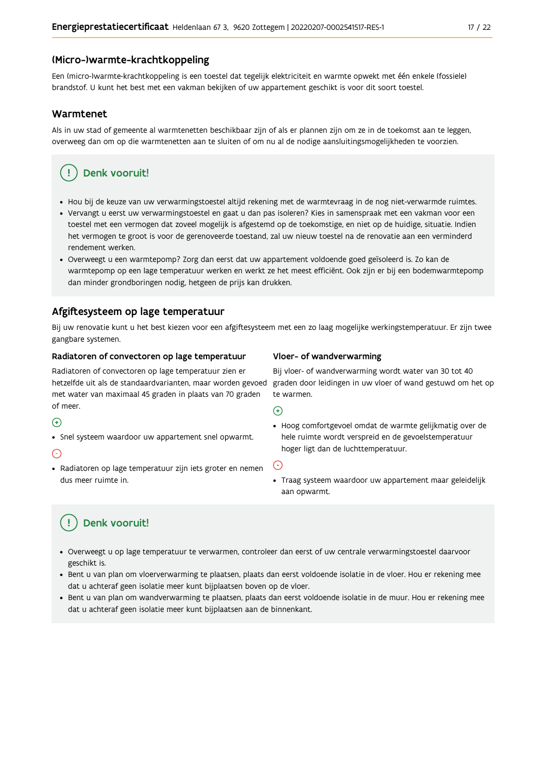#### (Micro-)warmte-krachtkoppeling

Een (micro-)warmte-krachtkoppeling is een toestel dat tegelijk elektriciteit en warmte opwekt met één enkele (fossiele) brandstof. U kunt het best met een vakman bekijken of uw appartement geschikt is voor dit soort toestel.

#### Warmtenet

Als in uw stad of gemeente al warmtenetten beschikbaar zijn of als er plannen zijn om ze in de toekomst aan te leggen, overweeg dan om op die warmtenetten aan te sluiten of om nu al de nodige aansluitingsmogelijkheden te voorzien.

## Denk vooruit!

- · Hou bij de keuze van uw verwarmingstoestel altijd rekening met de warmtevraag in de nog niet-verwarmde ruimtes.
- Vervangt u eerst uw verwarmingstoestel en gaat u dan pas isoleren? Kies in samenspraak met een vakman voor een toestel met een vermogen dat zoveel mogelijk is afgestemd op de toekomstige, en niet op de huidige, situatie. Indien het vermogen te groot is voor de gerenoveerde toestand, zal uw nieuw toestel na de renovatie aan een verminderd rendement werken.
- · Overweegt u een warmtepomp? Zorg dan eerst dat uw appartement voldoende goed geïsoleerd is. Zo kan de warmtepomp op een lage temperatuur werken en werkt ze het meest efficiënt. Ook zijn er bij een bodemwarmtepomp dan minder grondboringen nodig, hetgeen de prijs kan drukken.

### Afgiftesysteem op lage temperatuur

Bij uw renovatie kunt u het best kiezen voor een afgiftesysteem met een zo laag mogelijke werkingstemperatuur. Er zijn twee gangbare systemen.

#### Radiatoren of convectoren op lage temperatuur

Radiatoren of convectoren op lage temperatuur zien er hetzelfde uit als de standaardvarianten, maar worden gevoed met water van maximaal 45 graden in plaats van 70 graden of meer.

#### $\bigoplus$

• Snel systeem waardoor uw appartement snel opwarmt.

#### $\bigodot$

· Radiatoren op lage temperatuur zijn iets groter en nemen dus meer ruimte in.

#### Vloer- of wandverwarming

Bij vloer- of wandverwarming wordt water van 30 tot 40 graden door leidingen in uw vloer of wand gestuwd om het op te warmen.

#### $\bigoplus$

· Hoog comfortgevoel omdat de warmte gelijkmatig over de hele ruimte wordt verspreid en de gevoelstemperatuur hoger ligt dan de luchttemperatuur.

#### ∈

· Traag systeem waardoor uw appartement maar geleidelijk aan opwarmt.

## Denk vooruit!

- · Overweegt u op lage temperatuur te verwarmen, controleer dan eerst of uw centrale verwarmingstoestel daarvoor geschikt is.
- · Bent u van plan om vloerverwarming te plaatsen, plaats dan eerst voldoende isolatie in de vloer. Hou er rekening mee dat u achteraf geen isolatie meer kunt bijplaatsen boven op de vloer.
- · Bent u van plan om wandverwarming te plaatsen, plaats dan eerst voldoende isolatie in de muur. Hou er rekening mee dat u achteraf geen isolatie meer kunt bijplaatsen aan de binnenkant.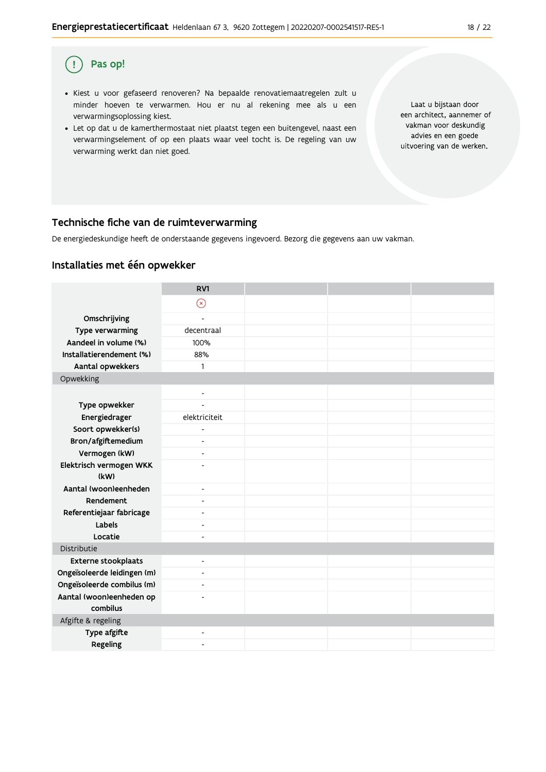#### Pas op!  $\left( \begin{array}{c} 1 \end{array} \right)$

- · Kiest u voor gefaseerd renoveren? Na bepaalde renovatiemaatregelen zult u minder hoeven te verwarmen. Hou er nu al rekening mee als u een verwarmingsoplossing kiest.
- . Let op dat u de kamerthermostaat niet plaatst tegen een buitengevel, naast een verwarmingselement of op een plaats waar veel tocht is. De regeling van uw verwarming werkt dan niet goed.

Laat u bijstaan door een architect, aannemer of vakman voor deskundig advies en een goede uitvoering van de werken.

### Technische fiche van de ruimteverwarming

De energiedeskundige heeft de onderstaande gegevens ingevoerd. Bezorg die gegevens aan uw vakman.

### Installaties met één opwekker

|                                      | RV1                      |  |  |
|--------------------------------------|--------------------------|--|--|
|                                      | $\odot$                  |  |  |
| Omschrijving                         | $\overline{\phantom{a}}$ |  |  |
| Type verwarming                      | decentraal               |  |  |
| Aandeel in volume (%)                | 100%                     |  |  |
| Installatierendement (%)             | 88%                      |  |  |
| Aantal opwekkers                     | 1                        |  |  |
| Opwekking                            |                          |  |  |
|                                      | $\overline{\phantom{a}}$ |  |  |
| Type opwekker                        | $\overline{a}$           |  |  |
| Energiedrager                        | elektriciteit            |  |  |
| Soort opwekker(s)                    | $\overline{\phantom{m}}$ |  |  |
| Bron/afgiftemedium                   | $\overline{\phantom{0}}$ |  |  |
| Vermogen (kW)                        | $\blacksquare$           |  |  |
| Elektrisch vermogen WKK              | $\overline{a}$           |  |  |
| (kW)                                 |                          |  |  |
| Aantal (woon)eenheden                | $\overline{\phantom{0}}$ |  |  |
| Rendement                            | $\overline{\phantom{a}}$ |  |  |
| Referentiejaar fabricage             | $\overline{a}$           |  |  |
| Labels                               | $\overline{\phantom{a}}$ |  |  |
| Locatie                              | $\overline{a}$           |  |  |
| Distributie                          |                          |  |  |
| Externe stookplaats                  | $\overline{\phantom{a}}$ |  |  |
| Ongeïsoleerde leidingen (m)          | $\overline{\phantom{a}}$ |  |  |
| Ongeïsoleerde combilus (m)           | $\overline{\phantom{a}}$ |  |  |
| Aantal (woon)eenheden op<br>combilus |                          |  |  |
| Afgifte & regeling                   |                          |  |  |
| Type afgifte                         | $\overline{\phantom{a}}$ |  |  |
| Regeling                             | $\overline{a}$           |  |  |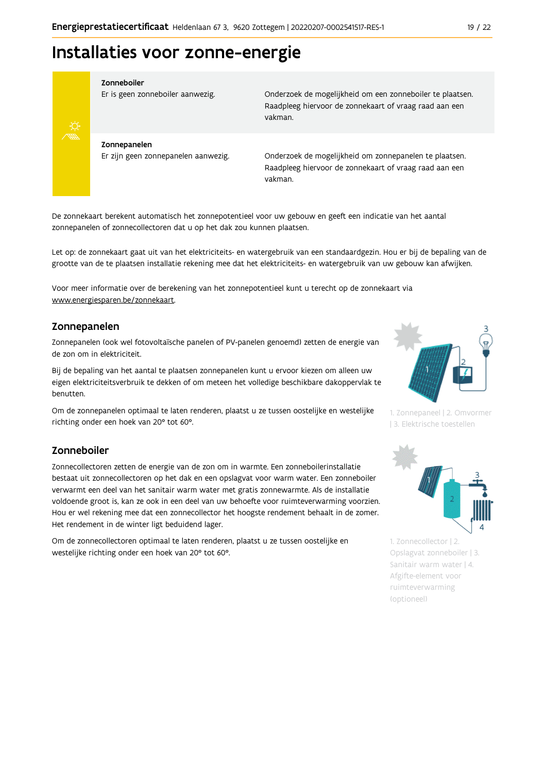## Installaties voor zonne-energie



#### Zonneboiler

Er is geen zonneboiler aanwezig.

Onderzoek de mogelijkheid om een zonneboiler te plaatsen. Raadpleeg hiervoor de zonnekaart of vraag raad aan een vakman.

Zonnepanelen Er zijn geen zonnepanelen aanwezig.

Onderzoek de mogelijkheid om zonnepanelen te plaatsen. Raadpleeg hiervoor de zonnekaart of vraag raad aan een vakman.

De zonnekaart berekent automatisch het zonnepotentieel voor uw gebouw en geeft een indicatie van het aantal zonnepanelen of zonnecollectoren dat u op het dak zou kunnen plaatsen.

Let op: de zonnekaart gaat uit van het elektriciteits- en watergebruik van een standaardgezin. Hou er bij de bepaling van de grootte van de te plaatsen installatie rekening mee dat het elektriciteits- en watergebruik van uw gebouw kan afwijken.

Voor meer informatie over de berekening van het zonnepotentieel kunt u terecht op de zonnekaart via www.energiesparen.be/zonnekaart.

### Zonnepanelen

Zonnepanelen (ook wel fotovoltaïsche panelen of PV-panelen genoemd) zetten de energie van de zon om in elektriciteit.

Bij de bepaling van het aantal te plaatsen zonnepanelen kunt u ervoor kiezen om alleen uw eigen elektriciteitsverbruik te dekken of om meteen het volledige beschikbare dakoppervlak te benutten.

Om de zonnepanelen optimaal te laten renderen, plaatst u ze tussen oostelijke en westelijke richting onder een hoek van 20° tot 60°.

### Zonneboiler

Zonnecollectoren zetten de energie van de zon om in warmte. Een zonneboilerinstallatie bestaat uit zonnecollectoren op het dak en een opslagvat voor warm water. Een zonneboiler verwarmt een deel van het sanitair warm water met gratis zonnewarmte. Als de installatie voldoende groot is, kan ze ook in een deel van uw behoefte voor ruimteverwarming voorzien. Hou er wel rekening mee dat een zonnecollector het hoogste rendement behaalt in de zomer. Het rendement in de winter ligt beduidend lager.

Om de zonnecollectoren optimaal te laten renderen, plaatst u ze tussen oostelijke en westelijke richting onder een hoek van 20° tot 60°.



1. Zonnepaneel | 2. Omvormer | 3. Elektrische toestellen



1. Zonnecollector | 2. Opslagvat zonneboiler | 3. Sanitair warm water | 4. Afgifte-element voor ruimteverwarming (optioneel)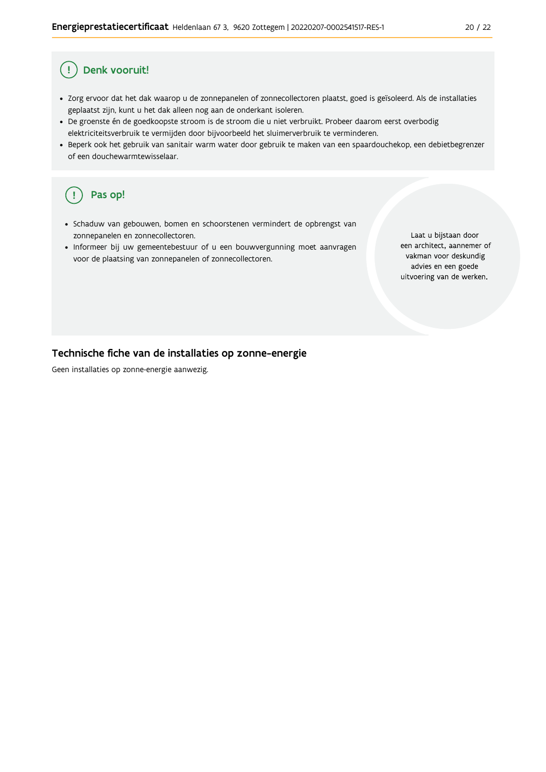#### Ţ Denk vooruit!

- · Zorg ervoor dat het dak waarop u de zonnepanelen of zonnecollectoren plaatst, goed is geïsoleerd. Als de installaties geplaatst zijn, kunt u het dak alleen nog aan de onderkant isoleren.
- · De groenste én de goedkoopste stroom is de stroom die u niet verbruikt. Probeer daarom eerst overbodig elektriciteitsverbruik te vermijden door bijvoorbeeld het sluimerverbruik te verminderen.
- · Beperk ook het gebruik van sanitair warm water door gebruik te maken van een spaardouchekop, een debietbegrenzer of een douchewarmtewisselaar.

#### Pas op! ( !

- · Schaduw van gebouwen, bomen en schoorstenen vermindert de opbrengst van zonnepanelen en zonnecollectoren.
- Informeer bij uw gemeentebestuur of u een bouwvergunning moet aanvragen voor de plaatsing van zonnepanelen of zonnecollectoren.

Laat u bijstaan door een architect, aannemer of vakman voor deskundig advies en een goede uitvoering van de werken.

### Technische fiche van de installaties op zonne-energie

Geen installaties op zonne-energie aanwezig.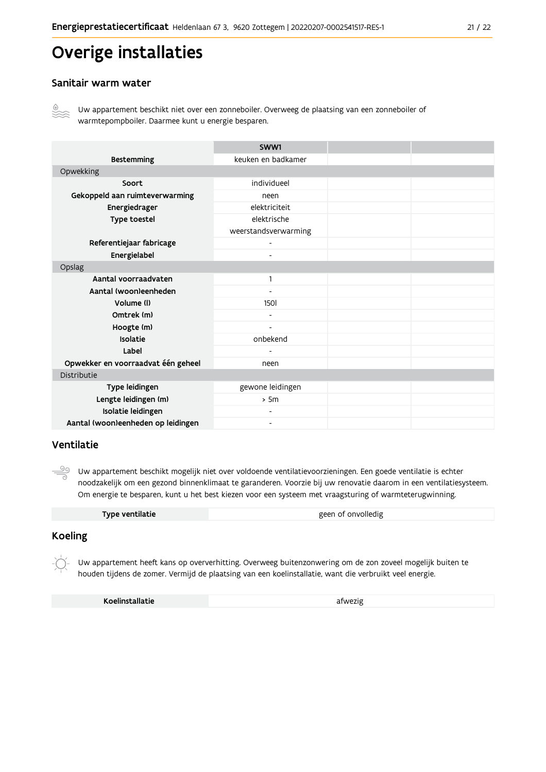## Overige installaties

### Sanitair warm water



Uw appartement beschikt niet over een zonneboiler. Overweeg de plaatsing van een zonneboiler of warmtepompboiler. Daarmee kunt u energie besparen.

|                                    | SWW1                     |  |
|------------------------------------|--------------------------|--|
| <b>Bestemming</b>                  | keuken en badkamer       |  |
| Opwekking                          |                          |  |
| Soort                              | individueel              |  |
| Gekoppeld aan ruimteverwarming     | neen                     |  |
| Energiedrager                      | elektriciteit            |  |
| Type toestel                       | elektrische              |  |
|                                    | weerstandsverwarming     |  |
| Referentiejaar fabricage           | $\blacksquare$           |  |
| Energielabel                       | $\overline{\phantom{0}}$ |  |
| Opslag                             |                          |  |
| Aantal voorraadvaten               | 1                        |  |
| Aantal (woon)eenheden              |                          |  |
| Volume (I)                         | <b>1501</b>              |  |
| Omtrek (m)                         |                          |  |
| Hoogte (m)                         |                          |  |
| Isolatie                           | onbekend                 |  |
| Label                              |                          |  |
| Opwekker en voorraadvat één geheel | neen                     |  |
| Distributie                        |                          |  |
| Type leidingen                     | gewone leidingen         |  |
| Lengte leidingen (m)               | > 5m                     |  |
| Isolatie leidingen                 | $\overline{\phantom{0}}$ |  |
| Aantal (woon)eenheden op leidingen | $\overline{\phantom{a}}$ |  |

### Ventilatie

 $\frac{\circledcirc}{\circ}$ Uw appartement beschikt mogelijk niet over voldoende ventilatievoorzieningen. Een goede ventilatie is echter noodzakelijk om een gezond binnenklimaat te garanderen. Voorzie bij uw renovatie daarom in een ventilatiesysteem. Om energie te besparen, kunt u het best kiezen voor een systeem met vraagsturing of warmteterugwinning.

| Type ventilatie | geen of onvolledig |
|-----------------|--------------------|
|                 |                    |

### **Koeling**

Uw appartement heeft kans op oververhitting. Overweeg buitenzonwering om de zon zoveel mogelijk buiten te houden tijdens de zomer. Vermijd de plaatsing van een koelinstallatie, want die verbruikt veel energie.

Koelinstallatie

afwezig